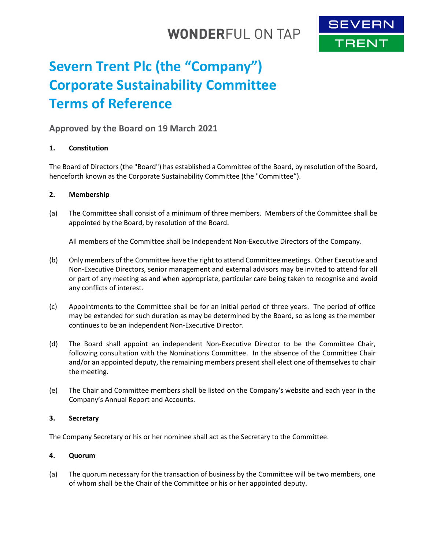## **WONDERFUL ON TAP**



# **Severn Trent Plc (the "Company") Corporate Sustainability Committee Terms of Reference**

### **Approved by the Board on 19 March 2021**

#### **1. Constitution**

The Board of Directors (the "Board") has established a Committee of the Board, by resolution of the Board, henceforth known as the Corporate Sustainability Committee (the "Committee").

#### **2. Membership**

(a) The Committee shall consist of a minimum of three members. Members of the Committee shall be appointed by the Board, by resolution of the Board.

All members of the Committee shall be Independent Non-Executive Directors of the Company.

- (b) Only members of the Committee have the right to attend Committee meetings. Other Executive and Non-Executive Directors, senior management and external advisors may be invited to attend for all or part of any meeting as and when appropriate, particular care being taken to recognise and avoid any conflicts of interest.
- (c) Appointments to the Committee shall be for an initial period of three years. The period of office may be extended for such duration as may be determined by the Board, so as long as the member continues to be an independent Non-Executive Director.
- (d) The Board shall appoint an independent Non-Executive Director to be the Committee Chair, following consultation with the Nominations Committee. In the absence of the Committee Chair and/or an appointed deputy, the remaining members present shall elect one of themselves to chair the meeting.
- (e) The Chair and Committee members shall be listed on the Company's website and each year in the Company's Annual Report and Accounts.

#### **3. Secretary**

The Company Secretary or his or her nominee shall act as the Secretary to the Committee.

#### **4. Quorum**

(a) The quorum necessary for the transaction of business by the Committee will be two members, one of whom shall be the Chair of the Committee or his or her appointed deputy.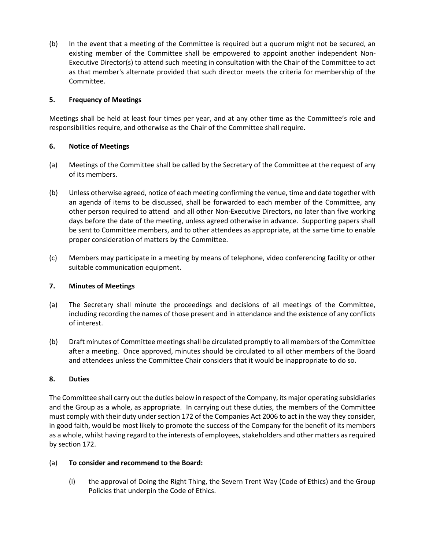(b) In the event that a meeting of the Committee is required but a quorum might not be secured, an existing member of the Committee shall be empowered to appoint another independent Non-Executive Director(s) to attend such meeting in consultation with the Chair of the Committee to act as that member's alternate provided that such director meets the criteria for membership of the Committee.

#### **5. Frequency of Meetings**

Meetings shall be held at least four times per year, and at any other time as the Committee's role and responsibilities require, and otherwise as the Chair of the Committee shall require.

#### **6. Notice of Meetings**

- (a) Meetings of the Committee shall be called by the Secretary of the Committee at the request of any of its members.
- (b) Unless otherwise agreed, notice of each meeting confirming the venue, time and date together with an agenda of items to be discussed, shall be forwarded to each member of the Committee, any other person required to attend and all other Non-Executive Directors, no later than five working days before the date of the meeting, unless agreed otherwise in advance. Supporting papers shall be sent to Committee members, and to other attendees as appropriate, at the same time to enable proper consideration of matters by the Committee.
- (c) Members may participate in a meeting by means of telephone, video conferencing facility or other suitable communication equipment.

#### **7. Minutes of Meetings**

- (a) The Secretary shall minute the proceedings and decisions of all meetings of the Committee, including recording the names of those present and in attendance and the existence of any conflicts of interest.
- (b) Draft minutes of Committee meetings shall be circulated promptly to all members of the Committee after a meeting. Once approved, minutes should be circulated to all other members of the Board and attendees unless the Committee Chair considers that it would be inappropriate to do so.

#### **8. Duties**

The Committee shall carry out the duties below in respect of the Company, its major operating subsidiaries and the Group as a whole, as appropriate. In carrying out these duties, the members of the Committee must comply with their duty under section 172 of the Companies Act 2006 to act in the way they consider, in good faith, would be most likely to promote the success of the Company for the benefit of its members as a whole, whilst having regard to the interests of employees, stakeholders and other matters as required by section 172.

#### (a) **To consider and recommend to the Board:**

(i) the approval of Doing the Right Thing, the Severn Trent Way (Code of Ethics) and the Group Policies that underpin the Code of Ethics.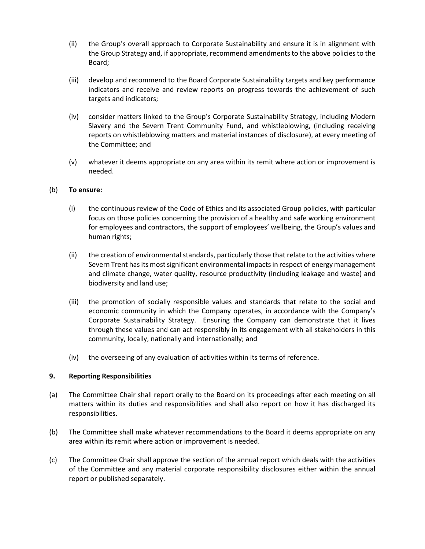- (ii) the Group's overall approach to Corporate Sustainability and ensure it is in alignment with the Group Strategy and, if appropriate, recommend amendments to the above policies to the Board;
- (iii) develop and recommend to the Board Corporate Sustainability targets and key performance indicators and receive and review reports on progress towards the achievement of such targets and indicators;
- (iv) consider matters linked to the Group's Corporate Sustainability Strategy, including Modern Slavery and the Severn Trent Community Fund, and whistleblowing, (including receiving reports on whistleblowing matters and material instances of disclosure), at every meeting of the Committee; and
- (v) whatever it deems appropriate on any area within its remit where action or improvement is needed.

#### (b) **To ensure:**

- (i) the continuous review of the Code of Ethics and its associated Group policies, with particular focus on those policies concerning the provision of a healthy and safe working environment for employees and contractors, the support of employees' wellbeing, the Group's values and human rights;
- (ii) the creation of environmental standards, particularly those that relate to the activities where Severn Trent has its most significant environmental impacts in respect of energy management and climate change, water quality, resource productivity (including leakage and waste) and biodiversity and land use;
- (iii) the promotion of socially responsible values and standards that relate to the social and economic community in which the Company operates, in accordance with the Company's Corporate Sustainability Strategy. Ensuring the Company can demonstrate that it lives through these values and can act responsibly in its engagement with all stakeholders in this community, locally, nationally and internationally; and
- (iv) the overseeing of any evaluation of activities within its terms of reference.

#### **9. Reporting Responsibilities**

- (a) The Committee Chair shall report orally to the Board on its proceedings after each meeting on all matters within its duties and responsibilities and shall also report on how it has discharged its responsibilities.
- (b) The Committee shall make whatever recommendations to the Board it deems appropriate on any area within its remit where action or improvement is needed.
- (c) The Committee Chair shall approve the section of the annual report which deals with the activities of the Committee and any material corporate responsibility disclosures either within the annual report or published separately.